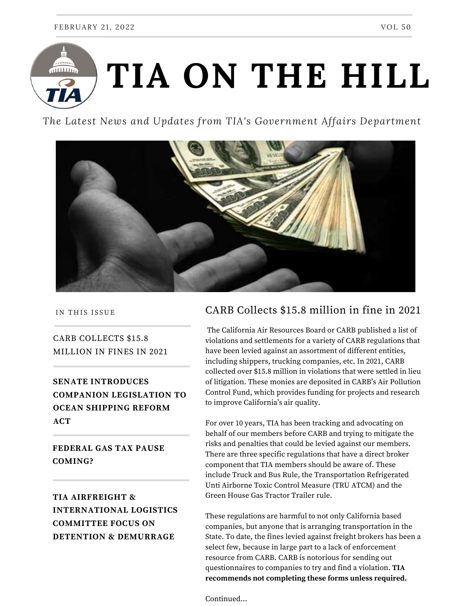

*The Latest News and Updates from TIA's Government Affairs Department*



IN THIS ISSUE

CARB COLLECTS \$15.8 MILLION IN FINES IN 2021

**SENATE INTRODUCES COMPANION LEGISLATION TO OCEAN SHIPPING REFORM ACT**

**FEDERAL GAS TAX PAUSE COMING?**

### **TIA AIRFREIGHT & INTERNATIONAL LOGISTICS COMMITTEE FOCUS ON DETENTION & DEMURRAGE**

#### CARB Collects \$15.8 million in fine in 2021

The California Air Resources Board or CARB published a list of violations and settlements for a variety of CARB regulations that have been levied against an assortment of different entities, including shippers, trucking companies, etc. In 2021, CARB collected over \$15.8 million in violations that were settled in lieu of litigation. These monies are deposited in CARB's Air Pollution Control Fund, which provides funding for projects and research to improve California's air quality.

For over 10 years, TIA has been tracking and advocating on behalf of our members before CARB and trying to mitigate the risks and penalties that could be levied against our members. There are three specific regulations that have a direct broker component that TIA members should be aware of. These include Truck and Bus Rule, the Transportation Refrigerated Unti Airborne Toxic Control Measure (TRU ATCM) and the Green House Gas Tractor Trailer rule.

These regulations are harmful to not only California based companies, but anyone that is arranging transportation in the State. To date, the fines levied against freight brokers has been a select few, because in large part to a lack of enforcement resource from CARB. CARB is notorious for sending out questionnaires to companies to try and find a violation. **TIA recommends not completing these forms unless required.**

Continued...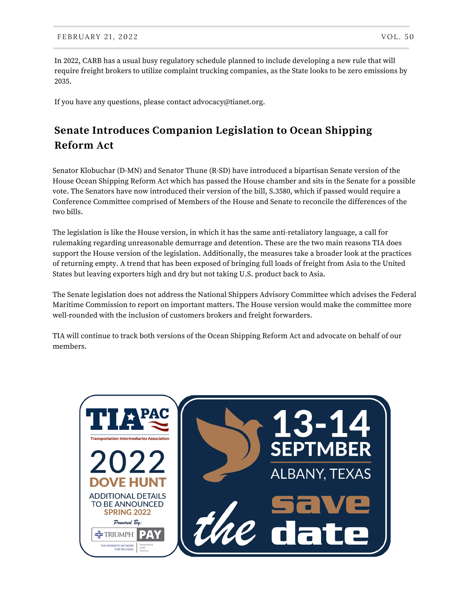In 2022, CARB has a usual busy regulatory schedule planned to include developing a new rule that will require freight brokers to utilize complaint trucking companies, as the State looks to be zero emissions by 2035.

If you have any questions, please contact [advocacy@tianet.org](mailto:advocacy@tianet.org).

## **Senate Introduces Companion Legislation to Ocean Shipping Reform Act**

Senator Klobuchar (D-MN) and Senator Thune (R-SD) have introduced a bipartisan Senate version of the House Ocean Shipping Reform Act which has passed the House chamber and sits in the Senate for a possible vote. The Senators have now introduced their version of the bill, S.3580, which if passed would require a Conference Committee comprised of Members of the House and Senate to reconcile the differences of the two bills.

The legislation is like the House version, in which it has the same anti-retaliatory language, a call for rulemaking regarding unreasonable demurrage and detention. These are the two main reasons TIA does support the House version of the legislation. Additionally, the measures take a broader look at the practices of returning empty. A trend that has been exposed of bringing full loads of freight from Asia to the United States but leaving exporters high and dry but not taking U.S. product back to Asia.

The Senate legislation does not address the National Shippers Advisory Committee which advises the Federal Maritime Commission to report on important matters. The House version would make the committee more well-rounded with the inclusion of customers brokers and freight forwarders.

TIA will continue to track both versions of the Ocean Shipping Reform Act and advocate on behalf of our members.